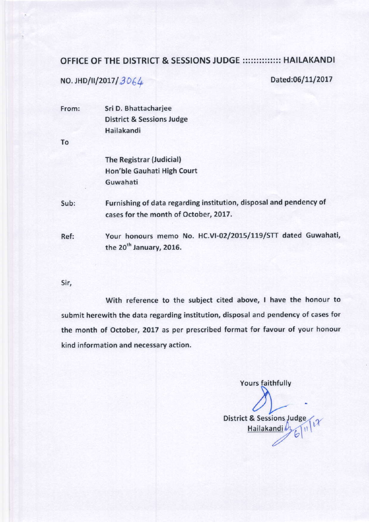## OFFICE OF THE DISTRICT & SESSIONS JUDGE :::::::::::::: HAILAKANDI

NO. JHD/II/2017/ $3064$ 

Dated:06/11/2017

From: Sri D. Bhattacharjee District & Sessions Judge Hailakandi

To

The Registrar (Judicial) Hon'ble Gauhati High Court Guwahati

Sub; Furnishing of data regarding institution, disposal and pendency of cases for the month of October, 2017.

Ref: Your honours memo No. HC.VI-02/2015/119/STT dated Guwahati, the 20<sup>th</sup> January, 2016.

5ir,

with reference to the subject cited above, I have the honour to submit herewith the data regarding institution, disposal and pendency of cases for the month of October, 2017 as per prescribed format for favour of your honour kind information and necessary action.

Yours faithfully

District & Sessions Judge Hailakandi by (1)